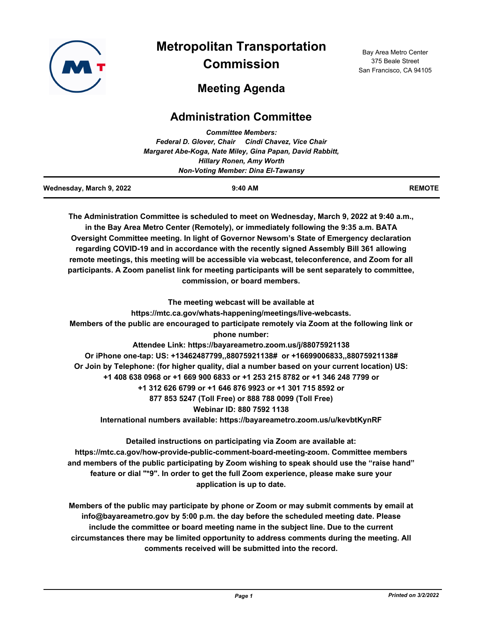

# **Metropolitan Transportation Commission**

Bay Area Metro Center 375 Beale Street San Francisco, CA 94105

## **Meeting Agenda**

### **Administration Committee**

| <b>Committee Members:</b>                 |                                                                                                                                                                                                     |               |  |  |
|-------------------------------------------|-----------------------------------------------------------------------------------------------------------------------------------------------------------------------------------------------------|---------------|--|--|
|                                           | Federal D. Glover, Chair Cindi Chavez, Vice Chair                                                                                                                                                   |               |  |  |
|                                           | Margaret Abe-Koga, Nate Miley, Gina Papan, David Rabbitt,                                                                                                                                           |               |  |  |
|                                           | <b>Hillary Ronen, Amy Worth</b>                                                                                                                                                                     |               |  |  |
| <b>Non-Voting Member: Dina El-Tawansy</b> |                                                                                                                                                                                                     |               |  |  |
| Wednesday, March 9, 2022                  | 9:40 AM                                                                                                                                                                                             | <b>REMOTE</b> |  |  |
|                                           | The Administration Committee is scheduled to meet on Wednesday, March 9, 2022 at 9:40 a.m.,<br>in the Bay Area Metro Center (Remotely), or immediately following the 9:35 a.m. BATA                 |               |  |  |
|                                           | Oversight Committee meeting. In light of Governor Newsom's State of Emergency declaration<br>regarding COVID-19 and in accordance with the recently signed Assembly Bill 361 allowing               |               |  |  |
|                                           | remote meetings, this meeting will be accessible via webcast, teleconference, and Zoom for all<br>participants. A Zoom panelist link for meeting participants will be sent separately to committee, |               |  |  |
|                                           | commission, or board members.                                                                                                                                                                       |               |  |  |
|                                           | The meeting webcast will be available at                                                                                                                                                            |               |  |  |
|                                           | https://mtc.ca.gov/whats-happening/meetings/live-webcasts.                                                                                                                                          |               |  |  |
|                                           | Members of the public are encouraged to participate remotely via Zoom at the following link or<br>phone number:                                                                                     |               |  |  |
|                                           | Attendee Link: https://bayareametro.zoom.us/j/88075921138                                                                                                                                           |               |  |  |
|                                           | Or iPhone one-tap: US: +13462487799,,88075921138# or +16699006833,,88075921138#                                                                                                                     |               |  |  |
|                                           | Or Join by Telephone: (for higher quality, dial a number based on your current location) US:                                                                                                        |               |  |  |
|                                           | +1 408 638 0968 or +1 669 900 6833 or +1 253 215 8782 or +1 346 248 7799 or                                                                                                                         |               |  |  |
|                                           | +1 312 626 6799 or +1 646 876 9923 or +1 301 715 8592 or                                                                                                                                            |               |  |  |
|                                           | 877 853 5247 (Toll Free) or 888 788 0099 (Toll Free)                                                                                                                                                |               |  |  |
|                                           | Webinar ID: 880 7592 1138                                                                                                                                                                           |               |  |  |
|                                           | International numbers available: https://bayareametro.zoom.us/u/kevbtKynRF                                                                                                                          |               |  |  |
|                                           | Detailed instructions on participating via Zoom are available at:                                                                                                                                   |               |  |  |
|                                           | https://mtc.ca.gov/how-provide-public-comment-board-meeting-zoom. Committee members                                                                                                                 |               |  |  |
|                                           | and members of the public participating by Zoom wishing to speak should use the "raise hand"                                                                                                        |               |  |  |
|                                           | feature or dial "*9". In order to get the full Zoom experience, please make sure your                                                                                                               |               |  |  |

**application is up to date.**

**Members of the public may participate by phone or Zoom or may submit comments by email at info@bayareametro.gov by 5:00 p.m. the day before the scheduled meeting date. Please include the committee or board meeting name in the subject line. Due to the current circumstances there may be limited opportunity to address comments during the meeting. All comments received will be submitted into the record.**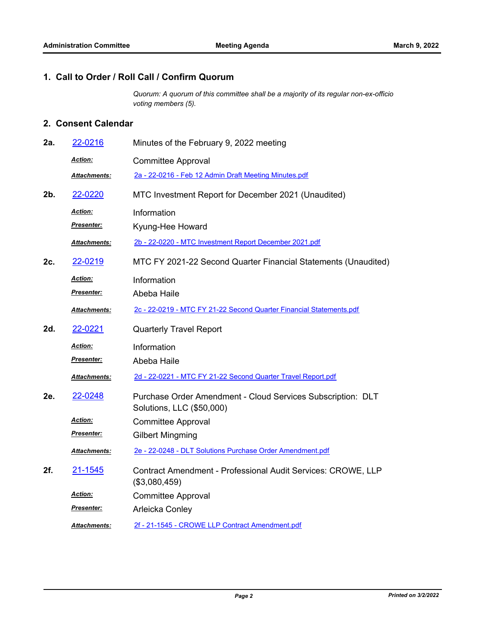#### **1. Call to Order / Roll Call / Confirm Quorum**

*Quorum: A quorum of this committee shall be a majority of its regular non-ex-officio voting members (5).*

### **2. Consent Calendar**

| 2a.    | 22-0216              | Minutes of the February 9, 2022 meeting                                                  |  |
|--------|----------------------|------------------------------------------------------------------------------------------|--|
|        | Action:              | <b>Committee Approval</b>                                                                |  |
|        | <b>Attachments:</b>  | 2a - 22-0216 - Feb 12 Admin Draft Meeting Minutes.pdf                                    |  |
| $2b$ . | 22-0220              | MTC Investment Report for December 2021 (Unaudited)                                      |  |
|        | Action:              | Information                                                                              |  |
|        | <b>Presenter:</b>    | Kyung-Hee Howard                                                                         |  |
|        | Attachments:         | 2b - 22-0220 - MTC Investment Report December 2021.pdf                                   |  |
| 2c.    | 22-0219              | MTC FY 2021-22 Second Quarter Financial Statements (Unaudited)                           |  |
|        | Action:              | Information                                                                              |  |
|        | Presenter:           | Abeba Haile                                                                              |  |
|        | <u> Attachments:</u> | 2c - 22-0219 - MTC FY 21-22 Second Quarter Financial Statements.pdf                      |  |
| 2d.    | 22-0221              | <b>Quarterly Travel Report</b>                                                           |  |
|        | <b>Action:</b>       | Information                                                                              |  |
|        | <u>Presenter:</u>    | Abeba Haile                                                                              |  |
|        | Attachments:         | 2d - 22-0221 - MTC FY 21-22 Second Quarter Travel Report.pdf                             |  |
| 2e.    | 22-0248              | Purchase Order Amendment - Cloud Services Subscription: DLT<br>Solutions, LLC (\$50,000) |  |
|        | <u>Action:</u>       | <b>Committee Approval</b>                                                                |  |
|        | Presenter:           | <b>Gilbert Mingming</b>                                                                  |  |
|        | Attachments:         | 2e - 22-0248 - DLT Solutions Purchase Order Amendment.pdf                                |  |
| 2f.    | 21-1545              | Contract Amendment - Professional Audit Services: CROWE, LLP<br>(\$3,080,459)            |  |
|        | <u>Action:</u>       | <b>Committee Approval</b>                                                                |  |
|        | <u>Presenter:</u>    | Arleicka Conley                                                                          |  |
|        | <b>Attachments:</b>  | 2f - 21-1545 - CROWE LLP Contract Amendment.pdf                                          |  |
|        |                      |                                                                                          |  |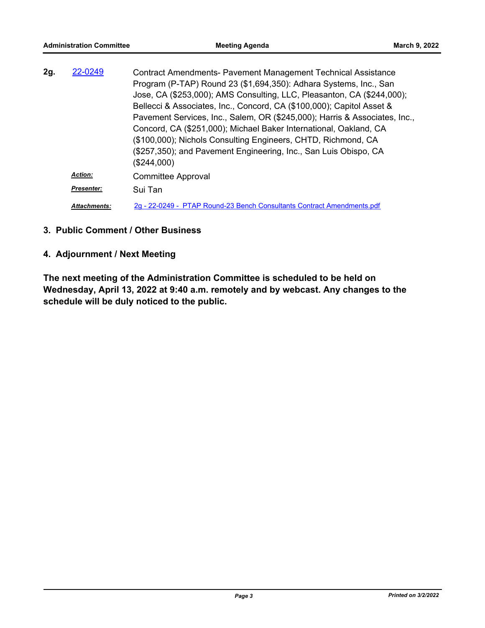| 22-0249<br>2g. |                     | <b>Contract Amendments- Pavement Management Technical Assistance</b>       |
|----------------|---------------------|----------------------------------------------------------------------------|
|                |                     | Program (P-TAP) Round 23 (\$1,694,350): Adhara Systems, Inc., San          |
|                |                     | Jose, CA (\$253,000); AMS Consulting, LLC, Pleasanton, CA (\$244,000);     |
|                |                     | Bellecci & Associates, Inc., Concord, CA (\$100,000); Capitol Asset &      |
|                |                     | Pavement Services, Inc., Salem, OR (\$245,000); Harris & Associates, Inc., |
|                |                     | Concord, CA (\$251,000); Michael Baker International, Oakland, CA          |
|                |                     | (\$100,000); Nichols Consulting Engineers, CHTD, Richmond, CA              |
|                |                     | (\$257,350); and Pavement Engineering, Inc., San Luis Obispo, CA           |
|                |                     | (\$244,000)                                                                |
|                | <b>Action:</b>      | <b>Committee Approval</b>                                                  |
|                | <b>Presenter:</b>   | Sui Tan                                                                    |
|                | <b>Attachments:</b> | 2g - 22-0249 - PTAP Round-23 Bench Consultants Contract Amendments.pdf     |

#### **3. Public Comment / Other Business**

### **4. Adjournment / Next Meeting**

**The next meeting of the Administration Committee is scheduled to be held on Wednesday, April 13, 2022 at 9:40 a.m. remotely and by webcast. Any changes to the schedule will be duly noticed to the public.**